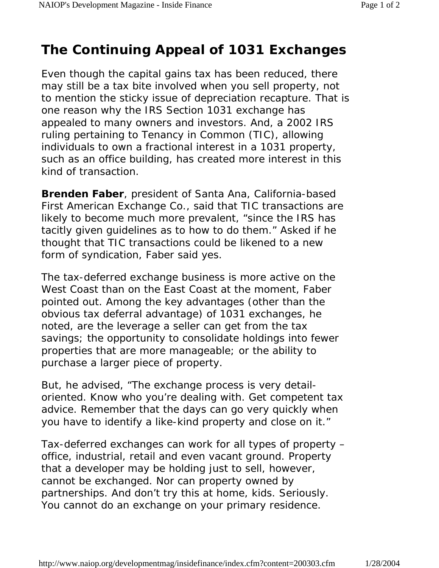## **The Continuing Appeal of 1031 Exchanges**

Even though the capital gains tax has been reduced, there may still be a tax bite involved when you sell property, not to mention the sticky issue of depreciation recapture. That is one reason why the IRS Section 1031 exchange has appealed to many owners and investors. And, a 2002 IRS ruling pertaining to Tenancy in Common (TIC), allowing individuals to own a fractional interest in a 1031 property, such as an office building, has created more interest in this kind of transaction.

**Brenden Faber**, president of Santa Ana, California-based First American Exchange Co., said that TIC transactions are likely to become much more prevalent, "since the IRS has tacitly given guidelines as to how to do them." Asked if he thought that TIC transactions could be likened to a new form of syndication, Faber said yes.

The tax-deferred exchange business is more active on the West Coast than on the East Coast at the moment, Faber pointed out. Among the key advantages (other than the obvious tax deferral advantage) of 1031 exchanges, he noted, are the leverage a seller can get from the tax savings; the opportunity to consolidate holdings into fewer properties that are more manageable; or the ability to purchase a larger piece of property.

But, he advised, "The exchange process is very detailoriented. Know who you're dealing with. Get competent tax advice. Remember that the days can go very quickly when you have to identify a like-kind property and close on it."

Tax-deferred exchanges can work for all types of property – office, industrial, retail and even vacant ground. Property that a developer may be holding just to sell, however, cannot be exchanged. Nor can property owned by partnerships. And don't try this at home, kids. Seriously. You cannot do an exchange on your primary residence.